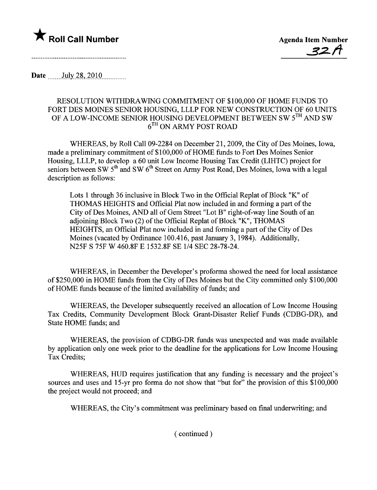

Date  $_{\text{July 28, 2010}}$ 

## RESOLUTION WITHDRAWING COMMITMENT OF \$100,000 OF HOME FUNDS TO FORT DES MOINES SENIOR HOUSING, LLLP FOR NEW CONSTRUCTION OF 60 UNITS OF A LOW-INCOME SENIOR HOUSING DEVELOPMENT BETWEEN SW 5TH AND SW 6TH ON ARMY POST ROAD

WHEREAS, by Roll Call 09-2284 on December 21, 2009, the City of Des Moines, Iowa, made a preliminary commitment of \$100,000 of HOME funds to Fort Des Moines Senior Housing, LLLP, to develop a 60 unit Low Income Housing Tax Credit (LIHTC) project for seniors between SW  $5<sup>th</sup>$  and SW  $6<sup>th</sup>$  Street on Army Post Road, Des Moines, Iowa with a legal description as follows:

Lots 1 through 36 inclusive in Block Two in the Official Replat of Block "K" of THOMAS HEIGHTS and Official Plat now included in and forming a part of the City of Des Moines, AND all of Gem Street "Lot B" right-of-way line South of an adjoining Block Two (2) of the Official Replat of Block "K", THOMAS HEIGHTS, an Official Plat now included in and forming a part of the City of Des Moines (vacated by Ordinance 100.416, past January 3, 1984). Additionally, N25F S 75F W 460.8F E 1532.8F SE 1/4 SEC 28-78-24.

WHEREAS, in December the Developer's proforma showed the need for local assistance of \$250,000 in HOME funds from the City of Des Moines but the City committed only \$100,000 of HOME funds because of the limited availabilty of funds; and

WHEREAS, the Developer subsequently received an allocation of Low Income Housing Tax Credits, Community Development Block Grant-Disaster Relief Funds (CDBG-DR), and State HOME funds; and

WHEREAS, the provision of CDBG-DR fuds was unexpected and was made available by application only one week prior to the deadline for the applications for Low Income Housing Tax Credits;

WHEREAS, HUD requires justification that any funding is necessary and the project's sources and uses and 15-yr pro forma do not show that "but for" the provision of this \$100,000 the project would not proceed; and

WHEREAS, the City's commitment was preliminary based on final underwriting; and

( continued)